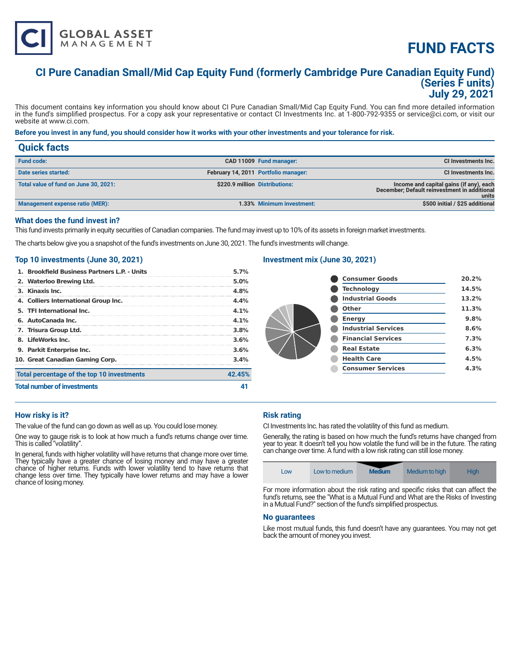# **FUND FACTS**

# **CI Pure Canadian Small/Mid Cap Equity Fund (formerly Cambridge Pure Canadian Equity Fund) (Series F units) July 29, 2021**

This document contains key information you should know about CI Pure Canadian Small/Mid Cap Equity Fund. You can find more detailed information in the fund's simplified prospectus. For a copy ask your representative or contact CI Investments Inc. at 1-800-792-9355 or service@ci.com, or visit our website at www.ci.com.

#### **Before you invest in any fund, you should consider how it works with your other investments and your tolerance for risk.**

| <b>Quick facts</b>                    |                                |                                      |                                                                                                  |
|---------------------------------------|--------------------------------|--------------------------------------|--------------------------------------------------------------------------------------------------|
| <b>Fund code:</b>                     |                                | CAD 11009 Fund manager:              | CI Investments Inc.                                                                              |
| Date series started:                  |                                | February 14, 2011 Portfolio manager: | CI Investments Inc.                                                                              |
| Total value of fund on June 30, 2021: | \$220.9 million Distributions: |                                      | Income and capital gains (if any), each<br>December; Default reinvestment in additional<br>units |
| Management expense ratio (MER):       |                                | 1.33% Minimum investment:            | \$500 initial / \$25 additional                                                                  |

# **What does the fund invest in?**

This fund invests primarily in equity securities of Canadian companies. The fund may invest up to 10% of its assets in foreign market investments.

The charts below give you a snapshot of the fund's investments on June 30, 2021. The fund's investments will change.

#### **Top 10 investments (June 30, 2021)**

**GLOBAL ASSET**<br>MANAGEMENT

| <b>Total number of investments</b>           |         |
|----------------------------------------------|---------|
| Total percentage of the top 10 investments   | 42.45%  |
| 10. Great Canadian Gaming Corp.              | 3.4%    |
| 9. Parkit Enterprise Inc.                    | 3.6%    |
| 8. LifeWorks Inc.                            | 3.6%    |
| 7. Trisura Group Ltd.                        | 3.8%    |
| 6. AutoCanada Inc.                           | $4.1\%$ |
| 5. TFI International Inc.                    | $4.1\%$ |
| 4. Colliers International Group Inc.         | 4.4%    |
| 3. Kinaxis Inc.                              | 4.8%    |
| 2. Waterloo Brewing Ltd.                     | 5.0%    |
| 1. Brookfield Business Partners L.P. - Units | 5.7%    |

### **Investment mix (June 30, 2021)**

| <b>Consumer Goods</b>      | 20.2% |
|----------------------------|-------|
| <b>Technology</b>          | 14.5% |
| <b>Industrial Goods</b>    | 13.2% |
| Other                      | 11.3% |
| <b>Energy</b>              | 9.8%  |
| <b>Industrial Services</b> | 8.6%  |
| <b>Financial Services</b>  | 7.3%  |
| <b>Real Estate</b>         | 6.3%  |
| <b>Health Care</b>         | 4.5%  |
| <b>Consumer Services</b>   | 4.3%  |
|                            |       |

### **How risky is it?**

The value of the fund can go down as well as up. You could lose money.

One way to gauge risk is to look at how much a fund's returns change over time. This is called "volatility".

In general, funds with higher volatility will have returns that change more over time. They typically have a greater chance of losing money and may have a greater chance of higher returns. Funds with lower volatility tend to have returns that change less over time. They typically have lower returns and may have a lower chance of losing money.

### **Risk rating**

CI Investments Inc. has rated the volatility of this fund as medium.

Generally, the rating is based on how much the fund's returns have changed from year to year. It doesn't tell you how volatile the fund will be in the future. The rating can change over time. A fund with a low risk rating can still lose money.

| <b>Medium</b><br>Medium to high<br>Hiah<br>Low to medium<br>LOW |
|-----------------------------------------------------------------|
|-----------------------------------------------------------------|

For more information about the risk rating and specific risks that can affect the fund's returns, see the "What is a Mutual Fund and What are the Risks of Investing in a Mutual Fund?" section of the fund's simplified prospectus.

#### **No guarantees**

Like most mutual funds, this fund doesn't have any guarantees. You may not get back the amount of money you invest.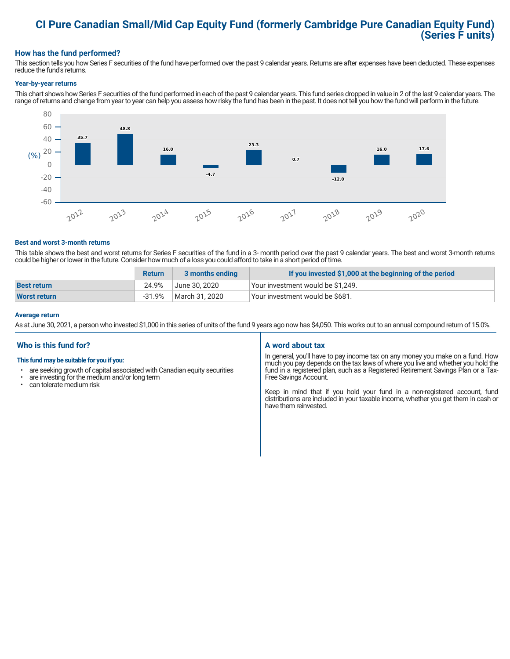# **CI Pure Canadian Small/Mid Cap Equity Fund (formerly Cambridge Pure Canadian Equity Fund) (Series F units)**

# **How has the fund performed?**

This section tells you how Series F securities of the fund have performed over the past 9 calendar years. Returns are after expenses have been deducted. These expenses reduce the fund's returns.

#### **Year-by-year returns**

This chart shows how Series F securities of the fund performed in each of the past 9 calendar years. This fund series dropped in value in 2 of the last 9 calendar years. The range of returns and change from year to year can help you assess how risky the fund has been in the past. It does not tell you how the fund will perform in the future.



#### **Best and worst 3-month returns**

This table shows the best and worst returns for Series F securities of the fund in a 3- month period over the past 9 calendar years. The best and worst 3-month returns could be higher or lower in the future. Consider how much of a loss you could afford to take in a short period of time.

|                     | <b>Return</b> | 3 months ending | If you invested \$1,000 at the beginning of the period |
|---------------------|---------------|-----------------|--------------------------------------------------------|
| <b>Best return</b>  | 24.9%         | June 30. 2020   | Your investment would be \$1,249.                      |
| <b>Worst return</b> | -31.9%        | March 31. 2020  | Your investment would be \$681.                        |

#### **Average return**

As at June 30, 2021, a person who invested \$1,000 in this series of units of the fund 9 years ago now has \$4,050. This works out to an annual compound return of 15.0%.

# **Who is this fund for?**

#### **This fund may be suitable for you if you:**

- are seeking growth of capital associated with Canadian equity securities
- $\cdot$  are investing for the medium and/or long term<br> $\cdot$  can telerate medium risk
- can tolerate medium risk

#### **A word about tax**

In general, you'll have to pay income tax on any money you make on a fund. How much you pay depends on the tax laws of where you live and whether you hold the fund in a registered plan, such as a Registered Retirement Savings Plan or a Tax-Free Savings Account.

Keep in mind that if you hold your fund in a non-registered account, fund distributions are included in your taxable income, whether you get them in cash or have them reinvested.